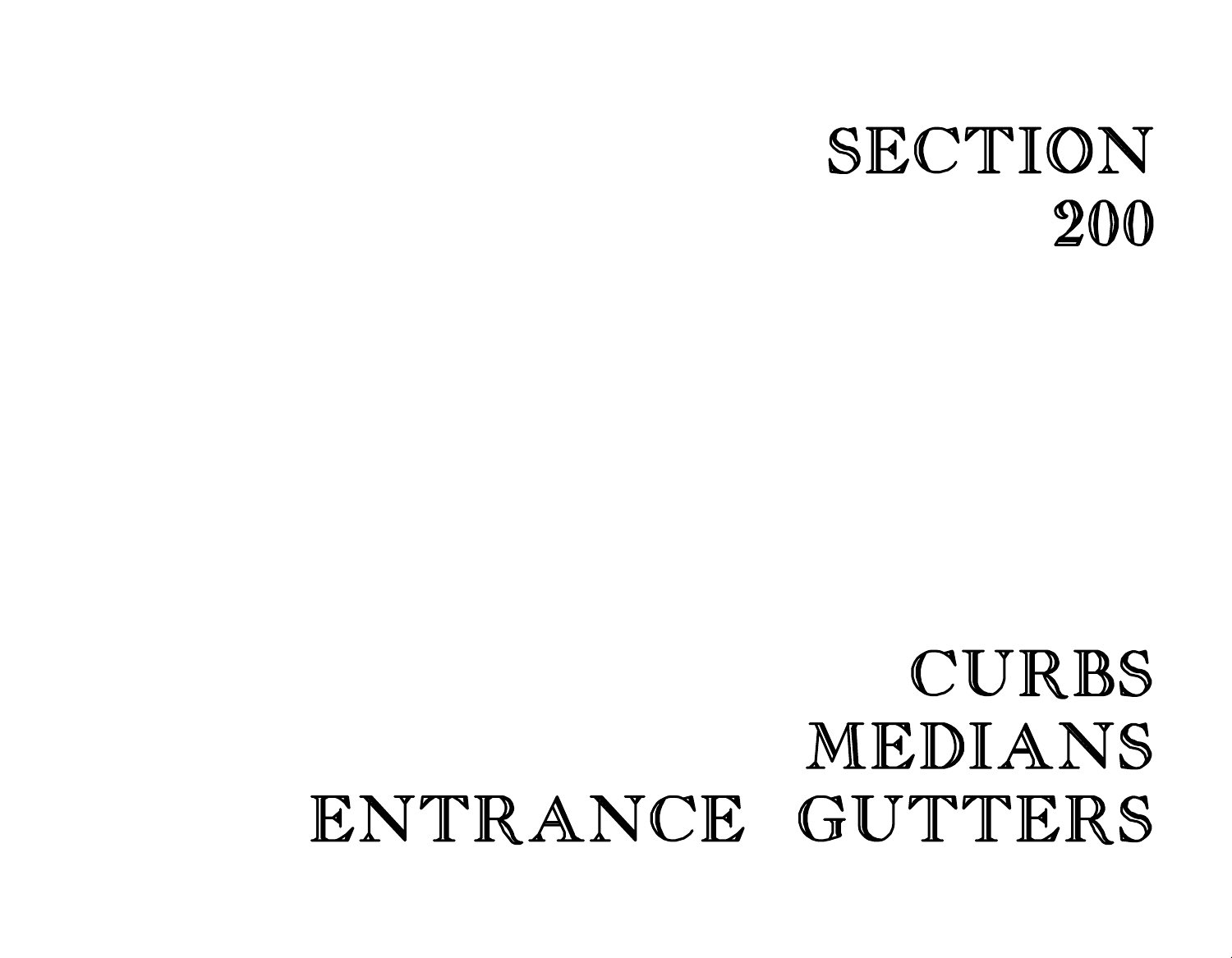## CURBS MEDIANS ENTRANCE GUTTERS

## SECTION 200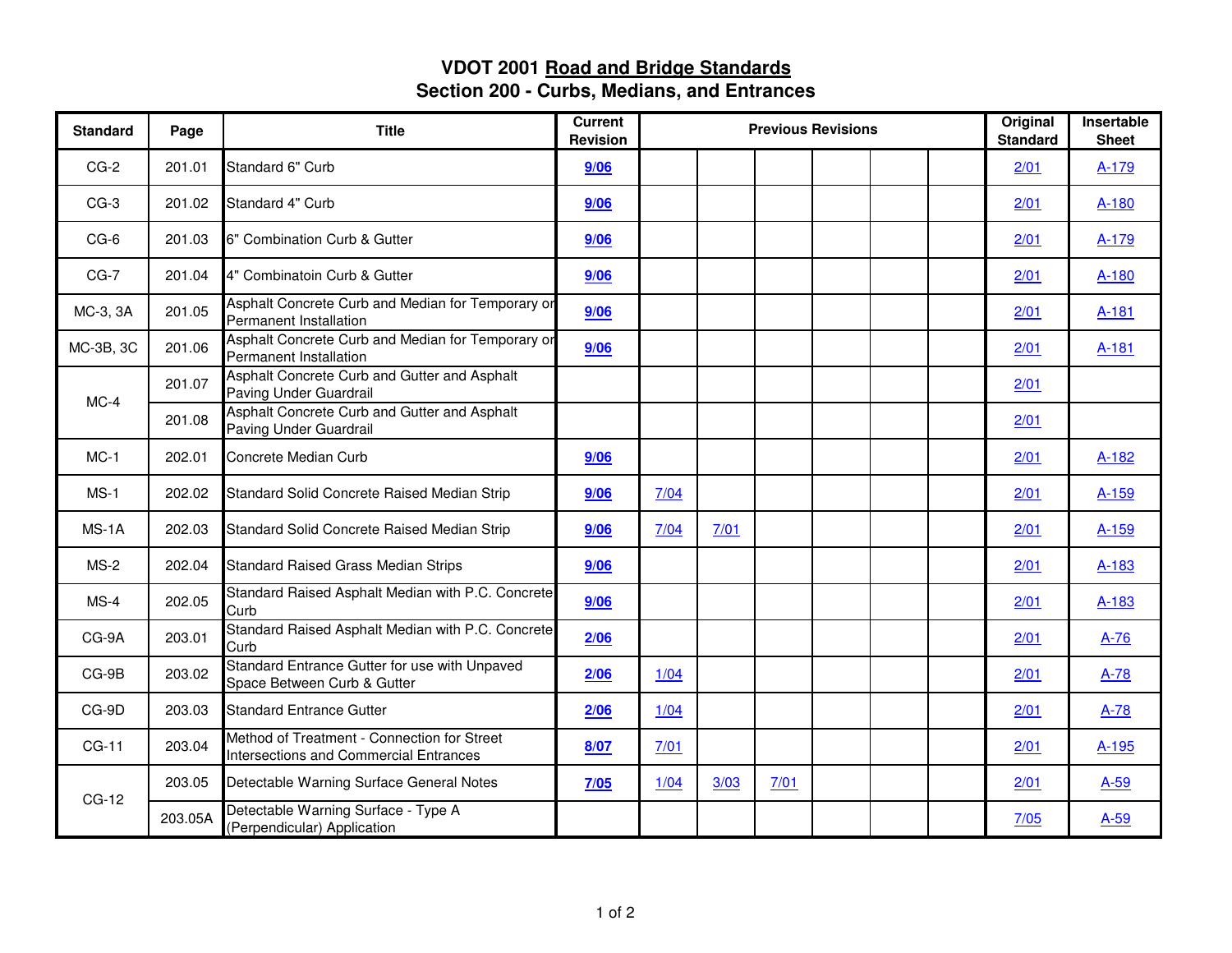## **VDOT 2001 Road and Bridge Standards Section 200 - Curbs, Medians, and Entrances**

| <b>Standard</b> | Page    | <b>Title</b>                                                                                 | <b>Current</b><br><b>Revision</b> | <b>Previous Revisions</b> |      |      |  |  |  | Original<br><b>Standard</b> | Insertable<br><b>Sheet</b> |
|-----------------|---------|----------------------------------------------------------------------------------------------|-----------------------------------|---------------------------|------|------|--|--|--|-----------------------------|----------------------------|
| $CG-2$          | 201.01  | Standard 6" Curb                                                                             | 9/06                              |                           |      |      |  |  |  | 2/01                        | A-179                      |
| $CG-3$          | 201.02  | Standard 4" Curb                                                                             | 9/06                              |                           |      |      |  |  |  | 2/01                        | A-180                      |
| CG-6            | 201.03  | 6" Combination Curb & Gutter                                                                 | 9/06                              |                           |      |      |  |  |  | 2/01                        | A-179                      |
| $CG-7$          | 201.04  | 4" Combinatoin Curb & Gutter                                                                 | 9/06                              |                           |      |      |  |  |  | 2/01                        | A-180                      |
| MC-3, 3A        | 201.05  | Asphalt Concrete Curb and Median for Temporary or<br>Permanent Installation                  | 9/06                              |                           |      |      |  |  |  | 2/01                        | A-181                      |
| MC-3B, 3C       | 201.06  | Asphalt Concrete Curb and Median for Temporary or<br>Permanent Installation                  | 9/06                              |                           |      |      |  |  |  | 2/01                        | A-181                      |
| $MC-4$          | 201.07  | Asphalt Concrete Curb and Gutter and Asphalt<br>Paving Under Guardrail                       |                                   |                           |      |      |  |  |  | 2/01                        |                            |
|                 | 201.08  | Asphalt Concrete Curb and Gutter and Asphalt<br>Paving Under Guardrail                       |                                   |                           |      |      |  |  |  | 2/01                        |                            |
| $MC-1$          | 202.01  | Concrete Median Curb                                                                         | 9/06                              |                           |      |      |  |  |  | 2/01                        | $A-182$                    |
| $MS-1$          | 202.02  | Standard Solid Concrete Raised Median Strip                                                  | 9/06                              | 7/04                      |      |      |  |  |  | 2/01                        | A-159                      |
| $MS-1A$         | 202.03  | Standard Solid Concrete Raised Median Strip                                                  | 9/06                              | 7/04                      | 7/01 |      |  |  |  | 2/01                        | A-159                      |
| $MS-2$          | 202.04  | <b>Standard Raised Grass Median Strips</b>                                                   | 9/06                              |                           |      |      |  |  |  | 2/01                        | A-183                      |
| $MS-4$          | 202.05  | Standard Raised Asphalt Median with P.C. Concrete<br>Curb                                    | 9/06                              |                           |      |      |  |  |  | 2/01                        | A-183                      |
| CG-9A           | 203.01  | Standard Raised Asphalt Median with P.C. Concrete<br>Curb                                    | 2/06                              |                           |      |      |  |  |  | 2/01                        | $A-76$                     |
| $CG-9B$         | 203.02  | Standard Entrance Gutter for use with Unpaved<br>Space Between Curb & Gutter                 | 2/06                              | 1/04                      |      |      |  |  |  | 2/01                        | $A-78$                     |
| CG-9D           | 203.03  | <b>Standard Entrance Gutter</b>                                                              | 2/06                              | 1/04                      |      |      |  |  |  | 2/01                        | $A-78$                     |
| $CG-11$         | 203.04  | Method of Treatment - Connection for Street<br><b>Intersections and Commercial Entrances</b> | 8/07                              | 7/01                      |      |      |  |  |  | 2/01                        | $A-195$                    |
| CG-12           | 203.05  | Detectable Warning Surface General Notes                                                     | 7/05                              | 1/04                      | 3/03 | 7/01 |  |  |  | 2/01                        | $A-59$                     |
|                 | 203.05A | Detectable Warning Surface - Type A<br>(Perpendicular) Application                           |                                   |                           |      |      |  |  |  | 7/05                        | $A-59$                     |